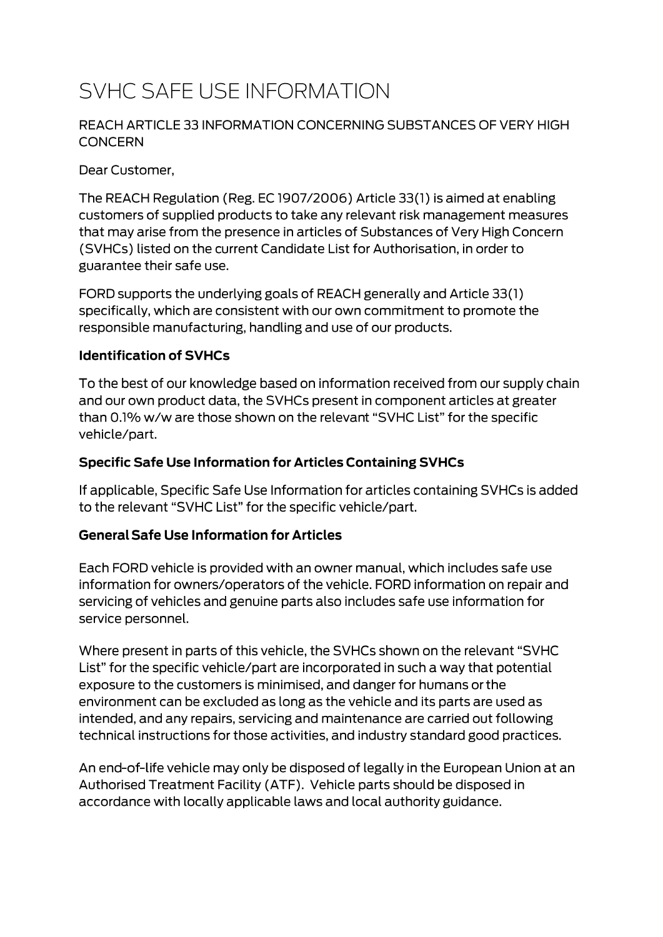# SVHC SAFE USE INFORMATION

#### REACH ARTICLE 33 INFORMATION CONCERNING SUBSTANCES OF VERY HIGH **CONCERN**

Dear Customer,

The REACH Regulation (Reg. EC 1907/2006) Article 33(1) is aimed at enabling customers of supplied products to take any relevant risk management measures that may arise from the presence in articles of Substances of Very High Concern (SVHCs) listed on the current Candidate List for Authorisation, in order to guarantee their safe use.

FORD supports the underlying goals of REACH generally and Article 33(1) specifically, which are consistent with our own commitment to promote the responsible manufacturing, handling and use of our products.

#### **Identification of SVHCs**

To the best of our knowledge based on information received from our supply chain and our own product data, the SVHCs present in component articles at greater than 0.1% w/w are those shown on the relevant "SVHC List" for the specific vehicle/part.

#### **Specific Safe Use Information for Articles Containing SVHCs**

If applicable, Specific Safe Use Information for articles containing SVHCs is added to the relevant "SVHC List" for the specific vehicle/part.

#### **General Safe Use Information for Articles**

Each FORD vehicle is provided with an owner manual, which includes safe use information for owners/operators of the vehicle. FORD information on repair and servicing of vehicles and genuine parts also includes safe use information for service personnel.

Where present in parts of this vehicle, the SVHCs shown on the relevant "SVHC List" for the specific vehicle/part are incorporated in such a way that potential exposure to the customers is minimised, and danger for humans or the environment can be excluded as long as the vehicle and its parts are used as intended, and any repairs, servicing and maintenance are carried out following technical instructions for those activities, and industry standard good practices.

An end-of-life vehicle may only be disposed of legally in the European Union at an Authorised Treatment Facility (ATF). Vehicle parts should be disposed in accordance with locally applicable laws and local authority guidance.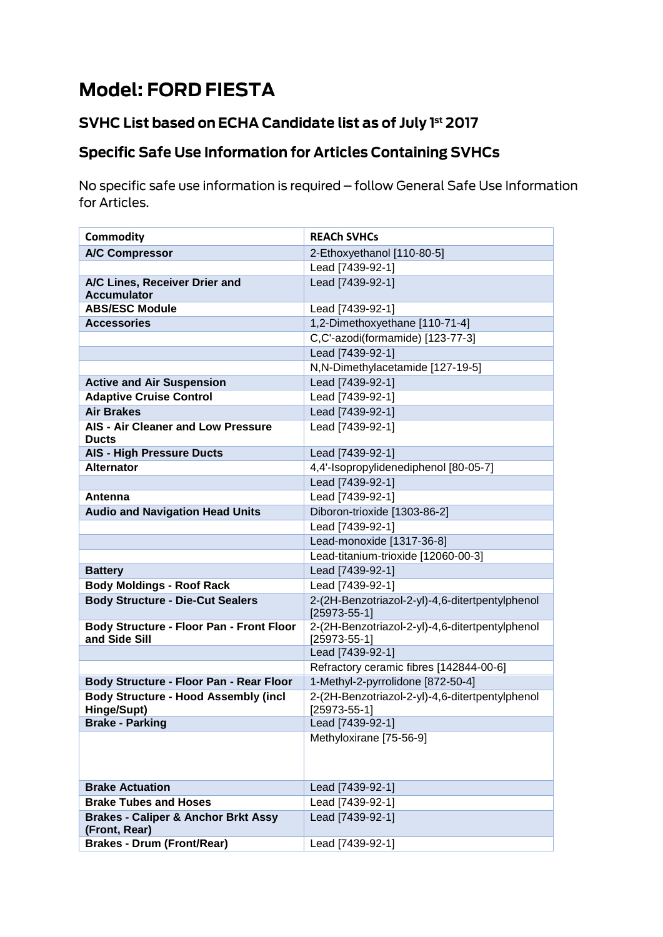# **Model: FORD FIESTA**

### SVHC List based on ECHA Candidate list as of July 1st 2017

## **Specific Safe Use Information for Articles Containing SVHCs**

No specific safe use information is required - follow General Safe Use Information for Articles.

| <b>Commodity</b>                                                 | <b>REACH SVHCs</b>                                                    |
|------------------------------------------------------------------|-----------------------------------------------------------------------|
| <b>A/C Compressor</b>                                            | 2-Ethoxyethanol [110-80-5]                                            |
|                                                                  | Lead [7439-92-1]                                                      |
| A/C Lines, Receiver Drier and                                    | Lead [7439-92-1]                                                      |
| <b>Accumulator</b>                                               |                                                                       |
| <b>ABS/ESC Module</b>                                            | Lead [7439-92-1]                                                      |
| <b>Accessories</b>                                               | 1,2-Dimethoxyethane [110-71-4]                                        |
|                                                                  | C,C'-azodi(formamide) [123-77-3]                                      |
|                                                                  | Lead [7439-92-1]                                                      |
|                                                                  | N,N-Dimethylacetamide [127-19-5]                                      |
| <b>Active and Air Suspension</b>                                 | Lead [7439-92-1]                                                      |
| <b>Adaptive Cruise Control</b>                                   | Lead [7439-92-1]                                                      |
| <b>Air Brakes</b>                                                | Lead [7439-92-1]                                                      |
| AIS - Air Cleaner and Low Pressure                               | Lead [7439-92-1]                                                      |
| <b>Ducts</b>                                                     |                                                                       |
| <b>AIS - High Pressure Ducts</b>                                 | Lead [7439-92-1]                                                      |
| <b>Alternator</b>                                                | 4,4'-Isopropylidenediphenol [80-05-7]                                 |
|                                                                  | Lead [7439-92-1]                                                      |
| Antenna                                                          | Lead [7439-92-1]                                                      |
| <b>Audio and Navigation Head Units</b>                           | Diboron-trioxide [1303-86-2]                                          |
|                                                                  | Lead [7439-92-1]                                                      |
|                                                                  | Lead-monoxide [1317-36-8]                                             |
|                                                                  | Lead-titanium-trioxide [12060-00-3]                                   |
| <b>Battery</b>                                                   | Lead [7439-92-1]                                                      |
| <b>Body Moldings - Roof Rack</b>                                 | Lead [7439-92-1]                                                      |
| <b>Body Structure - Die-Cut Sealers</b>                          | 2-(2H-Benzotriazol-2-yl)-4,6-ditertpentylphenol<br>$[25973 - 55 - 1]$ |
| <b>Body Structure - Floor Pan - Front Floor</b><br>and Side Sill | 2-(2H-Benzotriazol-2-yl)-4,6-ditertpentylphenol<br>$[25973-55-1]$     |
|                                                                  | Lead [7439-92-1]                                                      |
|                                                                  | Refractory ceramic fibres [142844-00-6]                               |
| Body Structure - Floor Pan - Rear Floor                          | 1-Methyl-2-pyrrolidone [872-50-4]                                     |
| <b>Body Structure - Hood Assembly (incl</b><br>Hinge/Supt)       | 2-(2H-Benzotriazol-2-yl)-4,6-ditertpentylphenol<br>$[25973 - 55 - 1]$ |
| <b>Brake - Parking</b>                                           | Lead [7439-92-1]                                                      |
|                                                                  | Methyloxirane [75-56-9]                                               |
|                                                                  |                                                                       |
| <b>Brake Actuation</b>                                           | Lead [7439-92-1]                                                      |
| <b>Brake Tubes and Hoses</b>                                     | Lead [7439-92-1]                                                      |
| <b>Brakes - Caliper &amp; Anchor Brkt Assy</b>                   | Lead [7439-92-1]                                                      |
| (Front, Rear)                                                    |                                                                       |
| <b>Brakes - Drum (Front/Rear)</b>                                | Lead [7439-92-1]                                                      |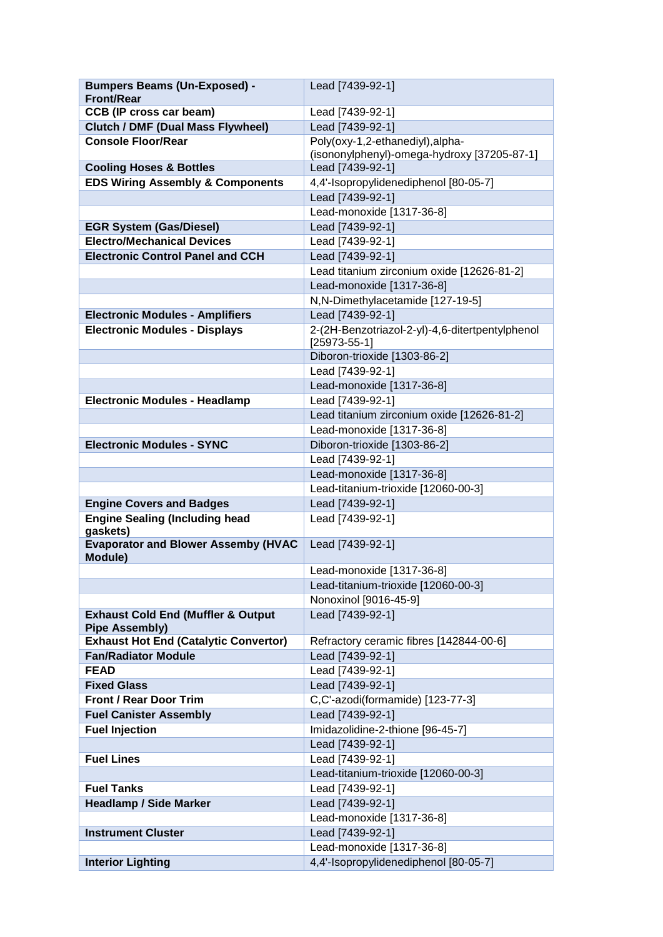| <b>Bumpers Beams (Un-Exposed) -</b>                                   | Lead [7439-92-1]                                        |
|-----------------------------------------------------------------------|---------------------------------------------------------|
| <b>Front/Rear</b>                                                     |                                                         |
| <b>CCB (IP cross car beam)</b>                                        | Lead [7439-92-1]                                        |
| <b>Clutch / DMF (Dual Mass Flywheel)</b><br><b>Console Floor/Rear</b> | Lead [7439-92-1]<br>Poly(oxy-1,2-ethanediyl), alpha-    |
|                                                                       | (isononylphenyl)-omega-hydroxy [37205-87-1]             |
| <b>Cooling Hoses &amp; Bottles</b>                                    | Lead [7439-92-1]                                        |
| <b>EDS Wiring Assembly &amp; Components</b>                           | 4,4'-Isopropylidenediphenol [80-05-7]                   |
|                                                                       | Lead [7439-92-1]                                        |
|                                                                       | Lead-monoxide [1317-36-8]                               |
| <b>EGR System (Gas/Diesel)</b>                                        | Lead [7439-92-1]                                        |
| <b>Electro/Mechanical Devices</b>                                     | Lead [7439-92-1]                                        |
| <b>Electronic Control Panel and CCH</b>                               | Lead [7439-92-1]                                        |
|                                                                       | Lead titanium zirconium oxide [12626-81-2]              |
|                                                                       | Lead-monoxide [1317-36-8]                               |
|                                                                       | N,N-Dimethylacetamide [127-19-5]                        |
| <b>Electronic Modules - Amplifiers</b>                                | Lead [7439-92-1]                                        |
| <b>Electronic Modules - Displays</b>                                  | 2-(2H-Benzotriazol-2-yl)-4,6-ditertpentylphenol         |
|                                                                       | $[25973-55-1]$                                          |
|                                                                       | Diboron-trioxide [1303-86-2]                            |
|                                                                       | Lead [7439-92-1]                                        |
|                                                                       | Lead-monoxide [1317-36-8]                               |
| <b>Electronic Modules - Headlamp</b>                                  | Lead [7439-92-1]                                        |
|                                                                       | Lead titanium zirconium oxide [12626-81-2]              |
|                                                                       | Lead-monoxide [1317-36-8]                               |
| <b>Electronic Modules - SYNC</b>                                      | Diboron-trioxide [1303-86-2]                            |
|                                                                       | Lead [7439-92-1]                                        |
|                                                                       | Lead-monoxide [1317-36-8]                               |
| <b>Engine Covers and Badges</b>                                       | Lead-titanium-trioxide [12060-00-3]<br>Lead [7439-92-1] |
| <b>Engine Sealing (Including head</b>                                 | Lead [7439-92-1]                                        |
| gaskets)                                                              |                                                         |
| <b>Evaporator and Blower Assemby (HVAC</b>                            | Lead [7439-92-1]                                        |
| Module)                                                               | Lead-monoxide [1317-36-8]                               |
|                                                                       | Lead-titanium-trioxide [12060-00-3]                     |
|                                                                       | Nonoxinol [9016-45-9]                                   |
| <b>Exhaust Cold End (Muffler &amp; Output</b>                         | Lead [7439-92-1]                                        |
| <b>Pipe Assembly)</b>                                                 |                                                         |
| <b>Exhaust Hot End (Catalytic Convertor)</b>                          | Refractory ceramic fibres [142844-00-6]                 |
| <b>Fan/Radiator Module</b>                                            | Lead [7439-92-1]                                        |
| <b>FEAD</b>                                                           | Lead [7439-92-1]                                        |
| <b>Fixed Glass</b>                                                    | Lead [7439-92-1]                                        |
| <b>Front / Rear Door Trim</b>                                         | C,C'-azodi(formamide) [123-77-3]                        |
| <b>Fuel Canister Assembly</b>                                         | Lead [7439-92-1]                                        |
| <b>Fuel Injection</b>                                                 | Imidazolidine-2-thione [96-45-7]                        |
|                                                                       | Lead [7439-92-1]                                        |
| <b>Fuel Lines</b>                                                     | Lead [7439-92-1]                                        |
|                                                                       | Lead-titanium-trioxide [12060-00-3]                     |
| <b>Fuel Tanks</b>                                                     | Lead [7439-92-1]                                        |
| <b>Headlamp / Side Marker</b>                                         | Lead [7439-92-1]                                        |
|                                                                       | Lead-monoxide [1317-36-8]                               |
| <b>Instrument Cluster</b>                                             | Lead [7439-92-1]                                        |
|                                                                       | Lead-monoxide [1317-36-8]                               |
| <b>Interior Lighting</b>                                              | 4,4'-Isopropylidenediphenol [80-05-7]                   |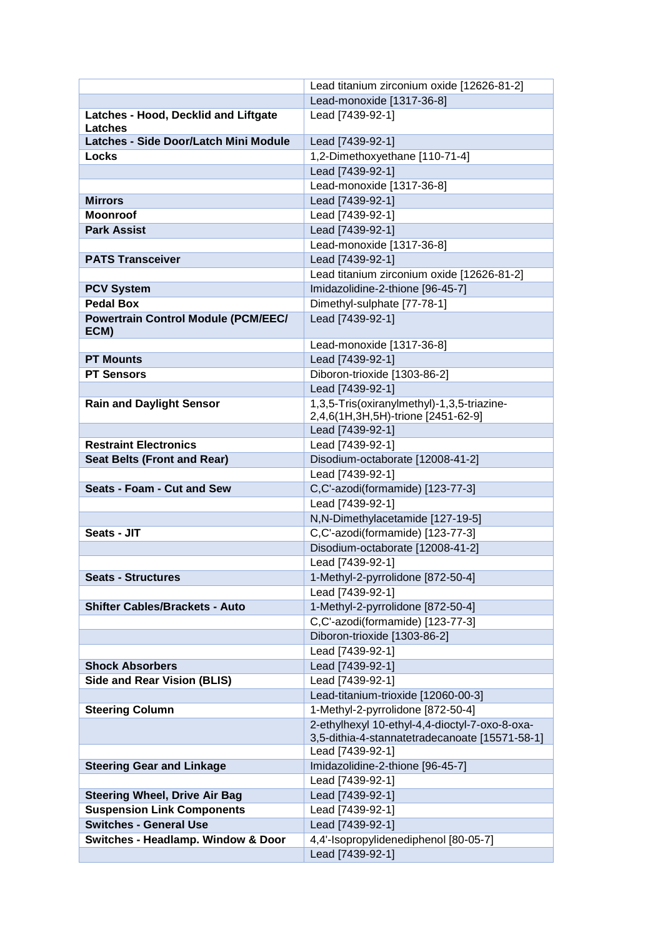|                                                                    | Lead titanium zirconium oxide [12626-81-2]                |
|--------------------------------------------------------------------|-----------------------------------------------------------|
|                                                                    | Lead-monoxide [1317-36-8]                                 |
| Latches - Hood, Decklid and Liftgate                               | Lead [7439-92-1]                                          |
| Latches                                                            |                                                           |
| Latches - Side Door/Latch Mini Module                              | Lead [7439-92-1]                                          |
| Locks                                                              | 1,2-Dimethoxyethane [110-71-4]                            |
|                                                                    | Lead [7439-92-1]                                          |
|                                                                    | Lead-monoxide [1317-36-8]                                 |
| <b>Mirrors</b>                                                     | Lead [7439-92-1]                                          |
| <b>Moonroof</b>                                                    | Lead [7439-92-1]                                          |
| <b>Park Assist</b>                                                 | Lead [7439-92-1]                                          |
|                                                                    | Lead-monoxide [1317-36-8]                                 |
| <b>PATS Transceiver</b>                                            | Lead [7439-92-1]                                          |
|                                                                    | Lead titanium zirconium oxide [12626-81-2]                |
| <b>PCV System</b>                                                  | Imidazolidine-2-thione [96-45-7]                          |
| <b>Pedal Box</b>                                                   | Dimethyl-sulphate [77-78-1]                               |
| <b>Powertrain Control Module (PCM/EEC/</b>                         | Lead [7439-92-1]                                          |
| ECM)                                                               | Lead-monoxide [1317-36-8]                                 |
| <b>PT Mounts</b>                                                   | Lead [7439-92-1]                                          |
| <b>PT Sensors</b>                                                  | Diboron-trioxide [1303-86-2]                              |
|                                                                    | Lead [7439-92-1]                                          |
| <b>Rain and Daylight Sensor</b>                                    | 1,3,5-Tris(oxiranylmethyl)-1,3,5-triazine-                |
|                                                                    | 2,4,6(1H,3H,5H)-trione [2451-62-9]                        |
|                                                                    | Lead [7439-92-1]                                          |
| <b>Restraint Electronics</b>                                       | Lead [7439-92-1]                                          |
| <b>Seat Belts (Front and Rear)</b>                                 | Disodium-octaborate [12008-41-2]                          |
|                                                                    | Lead [7439-92-1]                                          |
| <b>Seats - Foam - Cut and Sew</b>                                  | C,C'-azodi(formamide) [123-77-3]                          |
|                                                                    | Lead [7439-92-1]                                          |
|                                                                    | N,N-Dimethylacetamide [127-19-5]                          |
| Seats - JIT                                                        | C,C'-azodi(formamide) [123-77-3]                          |
|                                                                    | Disodium-octaborate [12008-41-2]                          |
|                                                                    | Lead [7439-92-1]                                          |
| <b>Seats - Structures</b>                                          | 1-Methyl-2-pyrrolidone [872-50-4]                         |
|                                                                    | Lead [7439-92-1]                                          |
| <b>Shifter Cables/Brackets - Auto</b>                              | 1-Methyl-2-pyrrolidone [872-50-4]                         |
|                                                                    | C,C'-azodi(formamide) [123-77-3]                          |
|                                                                    | Diboron-trioxide [1303-86-2]                              |
|                                                                    | Lead [7439-92-1]                                          |
| <b>Shock Absorbers</b>                                             | Lead [7439-92-1]                                          |
| <b>Side and Rear Vision (BLIS)</b>                                 | Lead [7439-92-1]                                          |
|                                                                    | Lead-titanium-trioxide [12060-00-3]                       |
| <b>Steering Column</b>                                             | 1-Methyl-2-pyrrolidone [872-50-4]                         |
|                                                                    | 2-ethylhexyl 10-ethyl-4,4-dioctyl-7-oxo-8-oxa-            |
|                                                                    | 3,5-dithia-4-stannatetradecanoate [15571-58-1]            |
|                                                                    | Lead [7439-92-1]                                          |
| <b>Steering Gear and Linkage</b>                                   | Imidazolidine-2-thione [96-45-7]                          |
|                                                                    | Lead [7439-92-1]                                          |
| <b>Steering Wheel, Drive Air Bag</b>                               | Lead [7439-92-1]                                          |
| <b>Suspension Link Components</b><br><b>Switches - General Use</b> | Lead [7439-92-1]                                          |
|                                                                    | Lead [7439-92-1]                                          |
| <b>Switches - Headlamp. Window &amp; Door</b>                      | 4,4'-Isopropylidenediphenol [80-05-7]<br>Lead [7439-92-1] |
|                                                                    |                                                           |